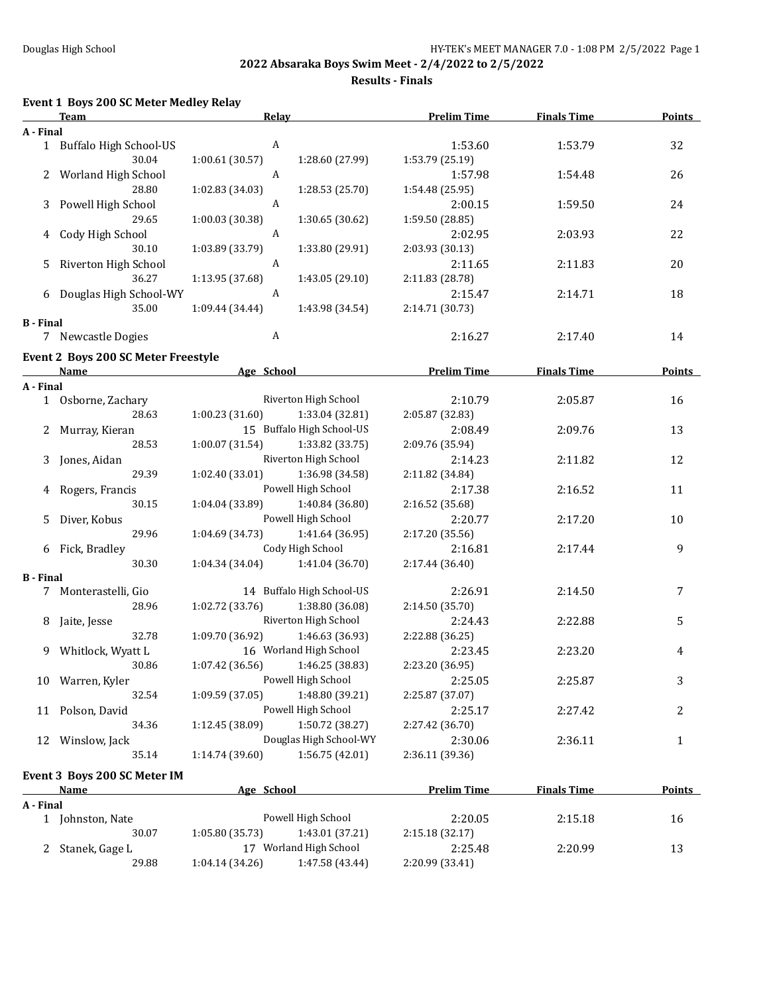**Results - Finals**

# **Event 1 Boys 200 SC Meter Medley Relay**

|                  | <b>Team</b>                                | Relay           |                           | <b>Prelim Time</b> | <b>Finals Time</b> | <b>Points</b> |
|------------------|--------------------------------------------|-----------------|---------------------------|--------------------|--------------------|---------------|
| A - Final        |                                            |                 |                           |                    |                    |               |
|                  | 1 Buffalo High School-US                   | A               |                           | 1:53.60            | 1:53.79            | 32            |
|                  | 30.04                                      | 1:00.61 (30.57) | 1:28.60 (27.99)           | 1:53.79 (25.19)    |                    |               |
|                  | 2 Worland High School                      | A               |                           | 1:57.98            | 1:54.48            | 26            |
|                  | 28.80                                      | 1:02.83 (34.03) | 1:28.53 (25.70)           | 1:54.48 (25.95)    |                    |               |
|                  |                                            |                 |                           |                    |                    |               |
|                  | 3 Powell High School                       | A               |                           | 2:00.15            | 1:59.50            | 24            |
|                  | 29.65                                      | 1:00.03 (30.38) | 1:30.65 (30.62)           | 1:59.50 (28.85)    |                    |               |
| 4                | Cody High School                           | A               |                           | 2:02.95            | 2:03.93            | 22            |
|                  | 30.10                                      | 1:03.89 (33.79) | 1:33.80 (29.91)           | 2:03.93 (30.13)    |                    |               |
| 5.               | Riverton High School                       | A               |                           | 2:11.65            | 2:11.83            | 20            |
|                  | 36.27                                      | 1:13.95 (37.68) | 1:43.05 (29.10)           | 2:11.83 (28.78)    |                    |               |
|                  | 6 Douglas High School-WY                   | A               |                           | 2:15.47            | 2:14.71            | 18            |
|                  | 35.00                                      | 1:09.44 (34.44) | 1:43.98 (34.54)           | 2:14.71 (30.73)    |                    |               |
| <b>B</b> - Final |                                            |                 |                           |                    |                    |               |
|                  | 7 Newcastle Dogies                         | A               |                           | 2:16.27            | 2:17.40            | 14            |
|                  | <b>Event 2 Boys 200 SC Meter Freestyle</b> |                 |                           |                    |                    |               |
|                  |                                            | Age School      |                           | <b>Prelim Time</b> |                    | <b>Points</b> |
|                  | Name                                       |                 |                           |                    | <b>Finals Time</b> |               |
| A - Final        |                                            |                 |                           |                    |                    |               |
|                  | 1 Osborne, Zachary                         |                 | Riverton High School      | 2:10.79            | 2:05.87            | 16            |
|                  | 28.63                                      | 1:00.23(31.60)  | 1:33.04 (32.81)           | 2:05.87 (32.83)    |                    |               |
|                  | 2 Murray, Kieran                           |                 | 15 Buffalo High School-US | 2:08.49            | 2:09.76            | 13            |
|                  | 28.53                                      | 1:00.07(31.54)  | 1:33.82 (33.75)           | 2:09.76 (35.94)    |                    |               |
| 3                | Jones, Aidan                               |                 | Riverton High School      | 2:14.23            | 2:11.82            | 12            |
|                  | 29.39                                      | 1:02.40 (33.01) | 1:36.98 (34.58)           | 2:11.82 (34.84)    |                    |               |
| 4                | Rogers, Francis                            |                 | Powell High School        | 2:17.38            | 2:16.52            | 11            |
|                  | 30.15                                      | 1:04.04 (33.89) | 1:40.84 (36.80)           | 2:16.52 (35.68)    |                    |               |
| 5.               | Diver, Kobus                               |                 | Powell High School        | 2:20.77            | 2:17.20            | 10            |
|                  | 29.96                                      | 1:04.69 (34.73) | 1:41.64 (36.95)           | 2:17.20 (35.56)    |                    |               |
|                  | 6 Fick, Bradley                            |                 | Cody High School          | 2:16.81            | 2:17.44            | 9             |
|                  | 30.30                                      | 1:04.34 (34.04) | 1:41.04 (36.70)           | 2:17.44 (36.40)    |                    |               |
| <b>B</b> - Final |                                            |                 |                           |                    |                    |               |
|                  | 7 Monterastelli, Gio                       |                 | 14 Buffalo High School-US | 2:26.91            | 2:14.50            | 7             |
|                  | 28.96                                      | 1:02.72 (33.76) | 1:38.80 (36.08)           | 2:14.50 (35.70)    |                    |               |
|                  |                                            |                 | Riverton High School      | 2:24.43            |                    | 5             |
| 8                | Jaite, Jesse<br>32.78                      |                 |                           |                    | 2:22.88            |               |
|                  |                                            | 1:09.70 (36.92) | 1:46.63 (36.93)           | 2:22.88 (36.25)    |                    |               |
|                  | 9 Whitlock, Wyatt L                        |                 | 16 Worland High School    | 2:23.45            | 2:23.20            | 4             |
|                  | 30.86                                      | 1:07.42(36.56)  | 1:46.25 (38.83)           | 2:23.20 (36.95)    |                    |               |
|                  | 10 Warren, Kyler                           |                 | Powell High School        | 2:25.05            | 2:25.87            | 3             |
|                  | 32.54                                      | 1:09.59 (37.05) | 1:48.80 (39.21)           | 2:25.87 (37.07)    |                    |               |
|                  | 11 Polson, David                           |                 | Powell High School        | 2:25.17            | 2:27.42            | 2             |
|                  | 34.36                                      | 1:12.45 (38.09) | 1:50.72 (38.27)           | 2:27.42 (36.70)    |                    |               |
|                  | 12 Winslow, Jack                           |                 | Douglas High School-WY    | 2:30.06            | 2:36.11            | $\mathbf{1}$  |
|                  | 35.14                                      | 1:14.74 (39.60) | 1:56.75 (42.01)           | 2:36.11 (39.36)    |                    |               |
|                  |                                            |                 |                           |                    |                    |               |
|                  | Event 3 Boys 200 SC Meter IM               |                 |                           |                    |                    |               |
|                  | <u>Name</u>                                | Age School      |                           | <b>Prelim Time</b> | <b>Finals Time</b> | <b>Points</b> |
| A - Final        |                                            |                 |                           |                    |                    |               |
|                  | 1 Johnston, Nate                           |                 | Powell High School        | 2:20.05            | 2:15.18            | 16            |
|                  | 30.07                                      | 1:05.80 (35.73) | 1:43.01 (37.21)           | 2:15.18 (32.17)    |                    |               |
|                  | 2 Stanek, Gage L                           |                 | 17 Worland High School    | 2:25.48            | 2:20.99            | 13            |
|                  | 29.88                                      | 1:04.14 (34.26) | 1:47.58 (43.44)           | 2:20.99 (33.41)    |                    |               |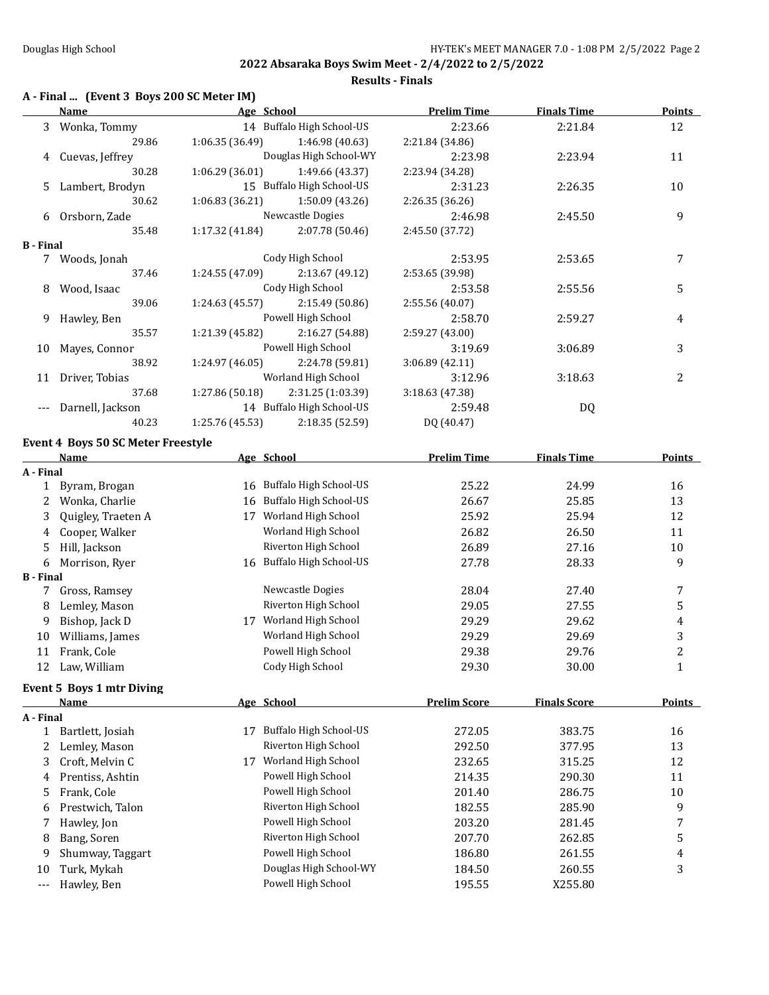**2022 Absaraka Boys Swim Meet - 2/4/2022 to 2/5/2022 Results - Finals**

### **A - Final ... (Event 3 Boys 200 SC Meter IM)**

|                       | <b>Name</b>                        |                 | Age School                                             | <b>Prelim Time</b>         | <b>Finals Time</b>  | <b>Points</b>  |
|-----------------------|------------------------------------|-----------------|--------------------------------------------------------|----------------------------|---------------------|----------------|
| 3                     | Wonka, Tommy                       |                 | 14 Buffalo High School-US                              | 2:23.66                    | 2:21.84             | 12             |
|                       | 29.86                              | 1:06.35 (36.49) | 1:46.98 (40.63)                                        | 2:21.84 (34.86)            |                     |                |
| 4                     | Cuevas, Jeffrey                    |                 | Douglas High School-WY                                 | 2:23.98                    | 2:23.94             | 11             |
|                       | 30.28                              | 1:06.29 (36.01) | 1:49.66 (43.37)                                        | 2:23.94 (34.28)            |                     |                |
| 5                     | Lambert, Brodyn                    |                 | 15 Buffalo High School-US                              | 2:31.23                    | 2:26.35             | 10             |
|                       | 30.62                              | 1:06.83 (36.21) | 1:50.09 (43.26)                                        | 2:26.35 (36.26)            |                     |                |
| 6                     | Orsborn, Zade                      |                 | Newcastle Dogies                                       | 2:46.98                    | 2:45.50             | 9              |
|                       | 35.48                              | 1:17.32 (41.84) | 2:07.78 (50.46)                                        | 2:45.50 (37.72)            |                     |                |
| <b>B</b> - Final      |                                    |                 |                                                        |                            |                     |                |
|                       | 7 Woods, Jonah                     |                 | Cody High School                                       | 2:53.95                    | 2:53.65             | 7              |
|                       | 37.46                              | 1:24.55 (47.09) | 2:13.67 (49.12)                                        | 2:53.65 (39.98)            |                     |                |
| 8                     | Wood, Isaac                        |                 | Cody High School                                       | 2:53.58                    | 2:55.56             | 5              |
|                       | 39.06                              | 1:24.63 (45.57) | 2:15.49 (50.86)                                        | 2:55.56 (40.07)            |                     |                |
| 9                     | Hawley, Ben                        |                 | Powell High School                                     | 2:58.70                    | 2:59.27             | 4              |
|                       | 35.57                              | 1:21.39 (45.82) | 2:16.27 (54.88)                                        | 2:59.27 (43.00)            |                     |                |
| 10                    | Mayes, Connor                      |                 | Powell High School                                     | 3:19.69                    | 3:06.89             | 3              |
|                       | 38.92                              | 1:24.97 (46.05) | 2:24.78 (59.81)                                        | 3:06.89 (42.11)            |                     |                |
| 11                    | Driver, Tobias                     |                 | Worland High School                                    | 3:12.96                    | 3:18.63             | 2              |
|                       | 37.68                              | 1:27.86 (50.18) | 2:31.25 (1:03.39)<br>14 Buffalo High School-US         | 3:18.63 (47.38)<br>2:59.48 |                     |                |
| $---$                 | Darnell, Jackson<br>40.23          |                 |                                                        |                            | DQ                  |                |
|                       |                                    | 1:25.76 (45.53) | 2:18.35 (52.59)                                        | DQ (40.47)                 |                     |                |
|                       | Event 4 Boys 50 SC Meter Freestyle |                 |                                                        |                            |                     |                |
|                       | <u>Name</u>                        |                 | Age School                                             | <b>Prelim Time</b>         | <b>Finals Time</b>  | <b>Points</b>  |
| A - Final             |                                    |                 |                                                        |                            |                     |                |
|                       | 1 Byram, Brogan                    |                 | 16 Buffalo High School-US<br>16 Buffalo High School-US | 25.22                      | 24.99               | 16             |
| 2                     | Wonka, Charlie                     |                 |                                                        | 26.67                      | 25.85               | 13             |
| 3                     | Quigley, Traeten A                 |                 | 17 Worland High School                                 | 25.92                      | 25.94               | 12             |
| 4                     | Cooper, Walker                     |                 | Worland High School                                    | 26.82                      | 26.50               | 11             |
| 5                     | Hill, Jackson                      |                 | Riverton High School                                   | 26.89                      | 27.16               | 10             |
| 6<br><b>B</b> - Final | Morrison, Ryer                     |                 | 16 Buffalo High School-US                              | 27.78                      | 28.33               | 9              |
| 7                     | Gross, Ramsey                      |                 | Newcastle Dogies                                       | 28.04                      | 27.40               | 7              |
| 8                     | Lemley, Mason                      |                 | Riverton High School                                   | 29.05                      | 27.55               | 5              |
| 9                     | Bishop, Jack D                     |                 | 17 Worland High School                                 | 29.29                      | 29.62               | 4              |
| 10                    | Williams, James                    |                 | Worland High School                                    | 29.29                      | 29.69               | 3              |
| 11                    | Frank, Cole                        |                 | Powell High School                                     | 29.38                      | 29.76               | $\overline{c}$ |
|                       | 12 Law, William                    |                 | Cody High School                                       | 29.30                      | 30.00               | $\mathbf{1}$   |
|                       |                                    |                 |                                                        |                            |                     |                |
|                       | Event 5 Boys 1 mtr Diving          |                 |                                                        |                            |                     |                |
|                       | <b>Name</b>                        |                 | Age School                                             | <b>Prelim Score</b>        | <b>Finals Score</b> | <b>Points</b>  |
| A - Final<br>1        | Bartlett, Josiah                   |                 | 17 Buffalo High School-US                              | 272.05                     | 383.75              | 16             |
| 2                     | Lemley, Mason                      |                 | Riverton High School                                   | 292.50                     | 377.95              | 13             |
| 3                     | Croft, Melvin C                    |                 | 17 Worland High School                                 | 232.65                     | 315.25              | 12             |
|                       |                                    |                 | Powell High School                                     |                            |                     |                |
| 4                     | Prentiss, Ashtin<br>Frank, Cole    |                 | Powell High School                                     | 214.35<br>201.40           | 290.30              | 11             |
| 5                     |                                    |                 | Riverton High School                                   |                            | 286.75              | $10\,$         |
| 6                     | Prestwich, Talon                   |                 | Powell High School                                     | 182.55                     | 285.90              | 9              |
| 7                     | Hawley, Jon                        |                 | Riverton High School                                   | 203.20                     | 281.45              | 7              |
| 8                     | Bang, Soren                        |                 | Powell High School                                     | 207.70                     | 262.85              | 5              |
| 9                     | Shumway, Taggart                   |                 | Douglas High School-WY                                 | 186.80                     | 261.55              | 4              |
| 10                    | Turk, Mykah                        |                 | Powell High School                                     | 184.50                     | 260.55              | 3              |
| $\scriptstyle\cdots$  | Hawley, Ben                        |                 |                                                        | 195.55                     | X255.80             |                |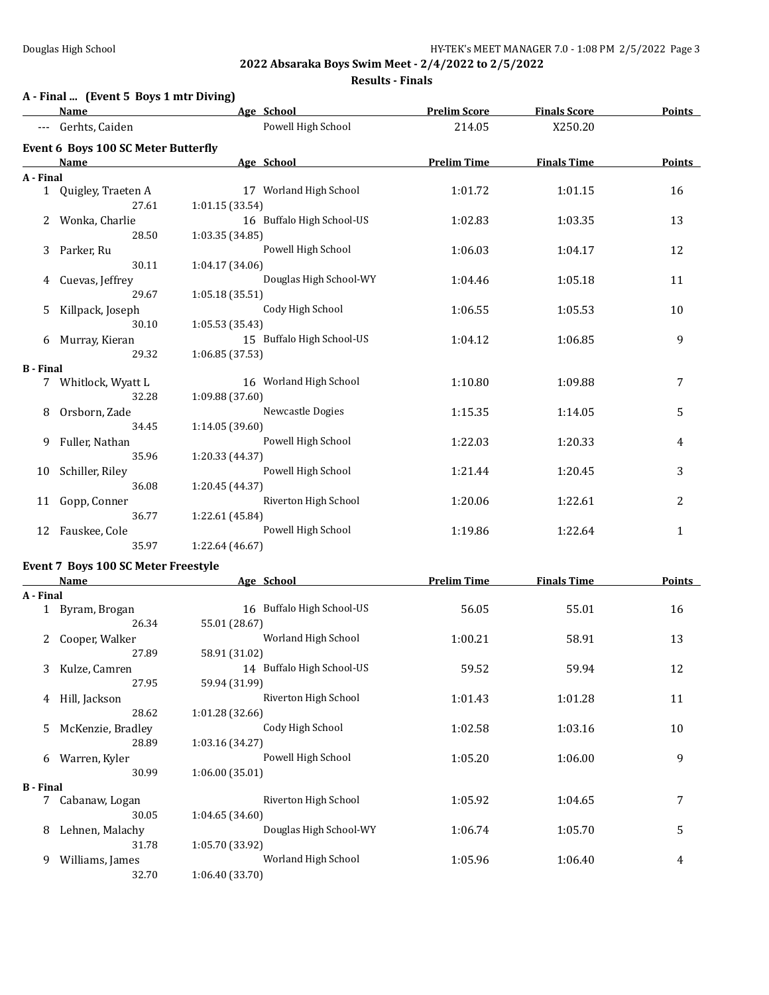## **A - Final ... (Event 5 Boys 1 mtr Diving)**

### **Results - Finals**

|                  | <u>Name</u>                         | Age School                             | <b>Prelim Score</b> | <b>Finals Score</b>            | Points        |
|------------------|-------------------------------------|----------------------------------------|---------------------|--------------------------------|---------------|
|                  | Gerhts, Caiden                      | Powell High School                     | 214.05              | X250.20                        |               |
|                  | Event 6 Boys 100 SC Meter Butterfly |                                        |                     |                                |               |
|                  | <b>Name</b>                         | Age School                             | <b>Prelim Time</b>  | <b>Finals Time</b>             | <b>Points</b> |
| A - Final        |                                     |                                        |                     |                                |               |
|                  | 1 Quigley, Traeten A                | 17 Worland High School                 | 1:01.72             | 1:01.15                        | 16            |
|                  | 27.61                               | 1:01.15 (33.54)                        |                     |                                |               |
| 2                | Wonka, Charlie                      | 16 Buffalo High School-US              | 1:02.83             | 1:03.35                        | 13            |
|                  | 28.50                               | 1:03.35 (34.85)                        |                     |                                |               |
| 3                | Parker, Ru                          | Powell High School                     | 1:06.03             | 1:04.17                        | 12            |
|                  | 30.11                               | 1:04.17 (34.06)                        |                     |                                |               |
| 4                | Cuevas, Jeffrey                     | Douglas High School-WY                 | 1:04.46             | 1:05.18                        | 11            |
|                  | 29.67                               | 1:05.18(35.51)                         |                     |                                |               |
| 5.               | Killpack, Joseph                    | Cody High School                       | 1:06.55             | 1:05.53                        | 10            |
|                  | 30.10                               | 1:05.53 (35.43)                        |                     |                                |               |
|                  | 6 Murray, Kieran                    | 15 Buffalo High School-US              | 1:04.12             | 1:06.85                        | 9             |
|                  | 29.32                               | 1:06.85 (37.53)                        |                     |                                |               |
| <b>B</b> - Final |                                     |                                        |                     |                                |               |
|                  | 7 Whitlock, Wyatt L<br>32.28        | 16 Worland High School                 | 1:10.80             | 1:09.88                        | 7             |
| 8                |                                     | 1:09.88 (37.60)<br>Newcastle Dogies    |                     |                                |               |
|                  | Orsborn, Zade<br>34.45              | 1:14.05 (39.60)                        | 1:15.35             | 1:14.05                        | 5             |
| 9.               | Fuller, Nathan                      | Powell High School                     | 1:22.03             | 1:20.33                        | 4             |
|                  | 35.96                               | 1:20.33 (44.37)                        |                     |                                |               |
|                  | 10 Schiller, Riley                  | Powell High School                     | 1:21.44             | 1:20.45                        | 3             |
|                  | 36.08                               | 1:20.45 (44.37)                        |                     |                                |               |
|                  | 11 Gopp, Conner                     | Riverton High School                   | 1:20.06             | 1:22.61                        | 2             |
|                  | 36.77                               | 1:22.61 (45.84)                        |                     |                                |               |
|                  | 12 Fauskee, Cole                    | Powell High School                     | 1:19.86             | 1:22.64                        | $\mathbf{1}$  |
|                  | 35.97                               | 1:22.64 (46.67)                        |                     |                                |               |
|                  | Event 7 Boys 100 SC Meter Freestyle |                                        |                     |                                |               |
|                  | <b>Name</b>                         | age School                             |                     | <b>Prelim Time Finals Time</b> | <b>Points</b> |
| A - Final        |                                     |                                        |                     |                                |               |
|                  | 1 Byram, Brogan                     | 16 Buffalo High School-US              | 56.05               | 55.01                          | 16            |
|                  | 26.34                               | 55.01 (28.67)                          |                     |                                |               |
|                  | 2 Cooper, Walker                    | Worland High School                    | 1:00.21             | 58.91                          | 13            |
|                  | 27.89                               | 58.91 (31.02)                          |                     |                                |               |
|                  | 3 Kulze, Camren                     | 14 Buffalo High School-US              | 59.52               | 59.94                          | 12            |
|                  | 27.95                               | 59.94 (31.99)                          |                     |                                |               |
|                  | Hill, Jackson                       | Riverton High School                   | 1:01.43             | 1:01.28                        | 11            |
|                  | 28.62                               | 1:01.28 (32.66)                        |                     |                                |               |
| 5.               | McKenzie, Bradley                   | Cody High School                       | 1:02.58             | 1:03.16                        | 10            |
|                  | 28.89                               | 1:03.16 (34.27)                        |                     |                                |               |
|                  | 6 Warren, Kyler                     | Powell High School                     | 1:05.20             | 1:06.00                        | 9             |
|                  | 30.99                               | 1:06.00 (35.01)                        |                     |                                |               |
| <b>B</b> - Final |                                     |                                        |                     |                                |               |
|                  | 7 Cabanaw, Logan                    | Riverton High School                   | 1:05.92             | 1:04.65                        | 7             |
|                  | 30.05                               | 1:04.65 (34.60)                        |                     |                                |               |
| 8.               | Lehnen, Malachy                     | Douglas High School-WY                 | 1:06.74             | 1:05.70                        | 5             |
|                  | 31.78<br>9 Williams, James          | 1:05.70 (33.92)<br>Worland High School | 1:05.96             | 1:06.40                        | 4             |
|                  |                                     |                                        |                     |                                |               |

32.70 1:06.40 (33.70)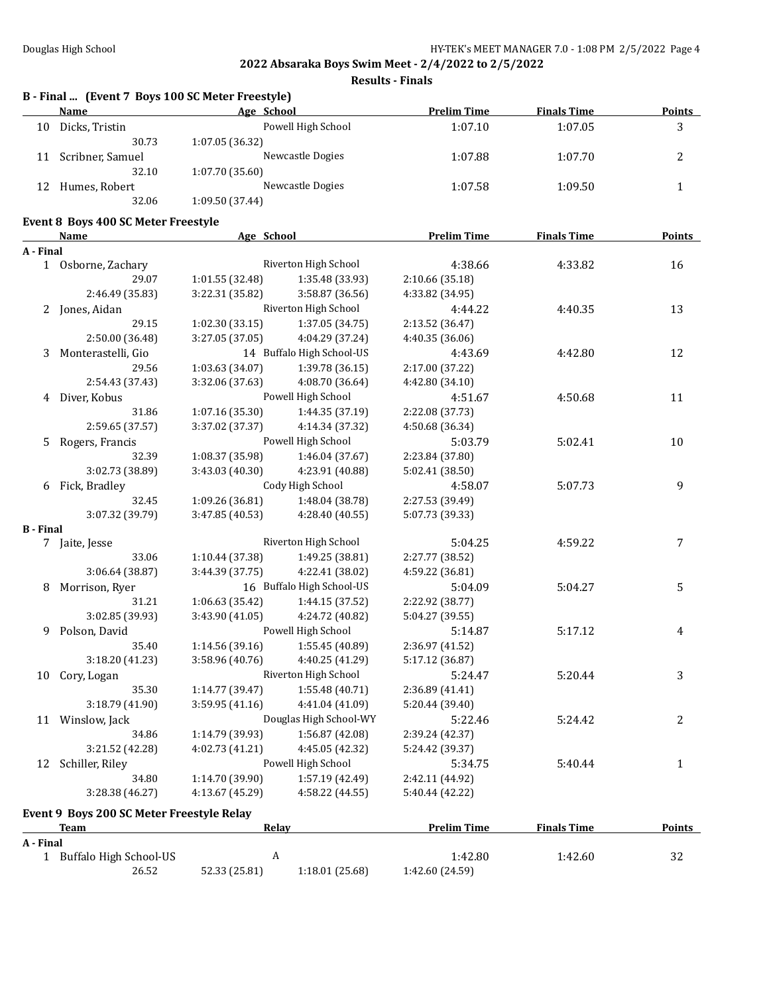**Results - Finals**

|                  | B - Final  (Event 7 Boys 100 SC Meter Freestyle)<br>Name | Age School             |                           | <b>Prelim Time</b> | <b>Finals Time</b> | <b>Points</b> |
|------------------|----------------------------------------------------------|------------------------|---------------------------|--------------------|--------------------|---------------|
|                  | 10 Dicks, Tristin                                        |                        | Powell High School        | 1:07.10            | 1:07.05            | 3             |
|                  | 30.73                                                    | 1:07.05 (36.32)        |                           |                    |                    |               |
|                  | 11 Scribner, Samuel                                      |                        | Newcastle Dogies          | 1:07.88            | 1:07.70            | 2             |
|                  | 32.10                                                    | 1:07.70 (35.60)        |                           |                    |                    |               |
|                  | 12 Humes, Robert                                         |                        | Newcastle Dogies          | 1:07.58            | 1:09.50            | $\mathbf{1}$  |
|                  | 32.06                                                    | 1:09.50 (37.44)        |                           |                    |                    |               |
|                  |                                                          |                        |                           |                    |                    |               |
|                  | Event 8 Boys 400 SC Meter Freestyle<br><b>Name</b>       | Age School             |                           | <b>Prelim Time</b> | <b>Finals Time</b> | <b>Points</b> |
| A - Final        |                                                          |                        |                           |                    |                    |               |
|                  | 1 Osborne, Zachary                                       |                        | Riverton High School      | 4:38.66            | 4:33.82            | 16            |
|                  | 29.07                                                    | 1:01.55 (32.48)        | 1:35.48 (33.93)           | 2:10.66 (35.18)    |                    |               |
|                  | 2:46.49 (35.83)                                          | 3:22.31 (35.82)        | 3:58.87 (36.56)           | 4:33.82 (34.95)    |                    |               |
|                  | 2 Jones, Aidan                                           |                        | Riverton High School      | 4:44.22            | 4:40.35            | 13            |
|                  | 29.15                                                    | 1:02.30 (33.15)        | 1:37.05 (34.75)           | 2:13.52 (36.47)    |                    |               |
|                  | 2:50.00 (36.48)                                          | 3:27.05 (37.05)        | 4:04.29 (37.24)           | 4:40.35 (36.06)    |                    |               |
| 3                | Monterastelli, Gio                                       |                        | 14 Buffalo High School-US | 4:43.69            | 4:42.80            | 12            |
|                  | 29.56                                                    | 1:03.63 (34.07)        | 1:39.78 (36.15)           | 2:17.00 (37.22)    |                    |               |
|                  | 2:54.43 (37.43)                                          | 3:32.06 (37.63)        | 4:08.70 (36.64)           | 4:42.80 (34.10)    |                    |               |
|                  | 4 Diver, Kobus                                           |                        | Powell High School        | 4:51.67            | 4:50.68            | 11            |
|                  | 31.86                                                    | 1:07.16 (35.30)        | 1:44.35 (37.19)           | 2:22.08 (37.73)    |                    |               |
|                  | 2:59.65 (37.57)                                          | 3:37.02 (37.37)        | 4:14.34 (37.32)           | 4:50.68 (36.34)    |                    |               |
| 5.               | Rogers, Francis                                          |                        | Powell High School        | 5:03.79            | 5:02.41            | 10            |
|                  | 32.39                                                    | 1:08.37 (35.98)        | 1:46.04 (37.67)           | 2:23.84 (37.80)    |                    |               |
|                  | 3:02.73 (38.89)                                          | 3:43.03 (40.30)        | 4:23.91 (40.88)           | 5:02.41 (38.50)    |                    |               |
|                  | 6 Fick, Bradley                                          |                        | Cody High School          | 4:58.07            | 5:07.73            | 9             |
|                  | 32.45                                                    | 1:09.26 (36.81)        | 1:48.04 (38.78)           | 2:27.53 (39.49)    |                    |               |
|                  | 3:07.32 (39.79)                                          | 3:47.85 (40.53)        | 4:28.40 (40.55)           | 5:07.73 (39.33)    |                    |               |
| <b>B</b> - Final |                                                          |                        |                           |                    |                    |               |
|                  | 7 Jaite, Jesse                                           |                        | Riverton High School      | 5:04.25            | 4:59.22            | 7             |
|                  | 33.06                                                    | 1:10.44 (37.38)        | 1:49.25 (38.81)           | 2:27.77 (38.52)    |                    |               |
|                  | 3:06.64 (38.87)                                          | 3:44.39 (37.75)        | 4:22.41 (38.02)           | 4:59.22 (36.81)    |                    |               |
| 8                | Morrison, Ryer                                           |                        | 16 Buffalo High School-US | 5:04.09            | 5:04.27            | 5             |
|                  | 31.21                                                    | 1:06.63 (35.42)        | 1:44.15 (37.52)           | 2:22.92 (38.77)    |                    |               |
|                  | 3:02.85 (39.93)                                          | 3:43.90 (41.05)        | 4:24.72 (40.82)           | 5:04.27 (39.55)    |                    |               |
| 9                | Polson, David                                            |                        | Powell High School        | 5:14.87            | 5:17.12            | 4             |
|                  | 35.40                                                    | 1:14.56 (39.16)        | 1:55.45 (40.89)           | 2:36.97 (41.52)    |                    |               |
|                  | 3:18.20 (41.23)                                          | 3:58.96 (40.76)        | 4:40.25 (41.29)           | 5:17.12 (36.87)    |                    |               |
|                  | 10 Cory, Logan                                           |                        | Riverton High School      | 5:24.47            | 5:20.44            | 3             |
|                  | 35.30                                                    | 1:14.77 (39.47)        | 1:55.48 (40.71)           | 2:36.89 (41.41)    |                    |               |
|                  | 3:18.79 (41.90)                                          | 3:59.95 (41.16)        | 4:41.04 (41.09)           | 5:20.44 (39.40)    |                    |               |
|                  | 11 Winslow, Jack                                         | Douglas High School-WY |                           | 5:22.46            | 5:24.42            | 2             |
|                  | 34.86                                                    | 1:14.79 (39.93)        | 1:56.87 (42.08)           | 2:39.24 (42.37)    |                    |               |
|                  | 3:21.52 (42.28)                                          | 4:02.73 (41.21)        | 4:45.05 (42.32)           | 5:24.42 (39.37)    |                    |               |
|                  | 12 Schiller, Riley                                       |                        | Powell High School        | 5:34.75            | 5:40.44            | $\mathbf{1}$  |
|                  | 34.80                                                    | 1:14.70 (39.90)        | 1:57.19 (42.49)           | 2:42.11 (44.92)    |                    |               |
|                  | 3:28.38 (46.27)                                          | 4:13.67 (45.29)        | 4:58.22 (44.55)           | 5:40.44 (42.22)    |                    |               |
|                  |                                                          |                        |                           |                    |                    |               |
|                  | Event 9 Boys 200 SC Meter Freestyle Relay<br>Team        | Relay                  |                           | <b>Prelim Time</b> | <b>Finals Time</b> | <b>Points</b> |
| A - Final        |                                                          |                        |                           |                    |                    |               |
|                  | 1 Buffalo High School-US                                 | $\boldsymbol{A}$       |                           | 1:42.80            | 1:42.60            | 32            |
|                  | 26.52                                                    | 52.33 (25.81)          | 1:18.01 (25.68)           | 1:42.60 (24.59)    |                    |               |
|                  |                                                          |                        |                           |                    |                    |               |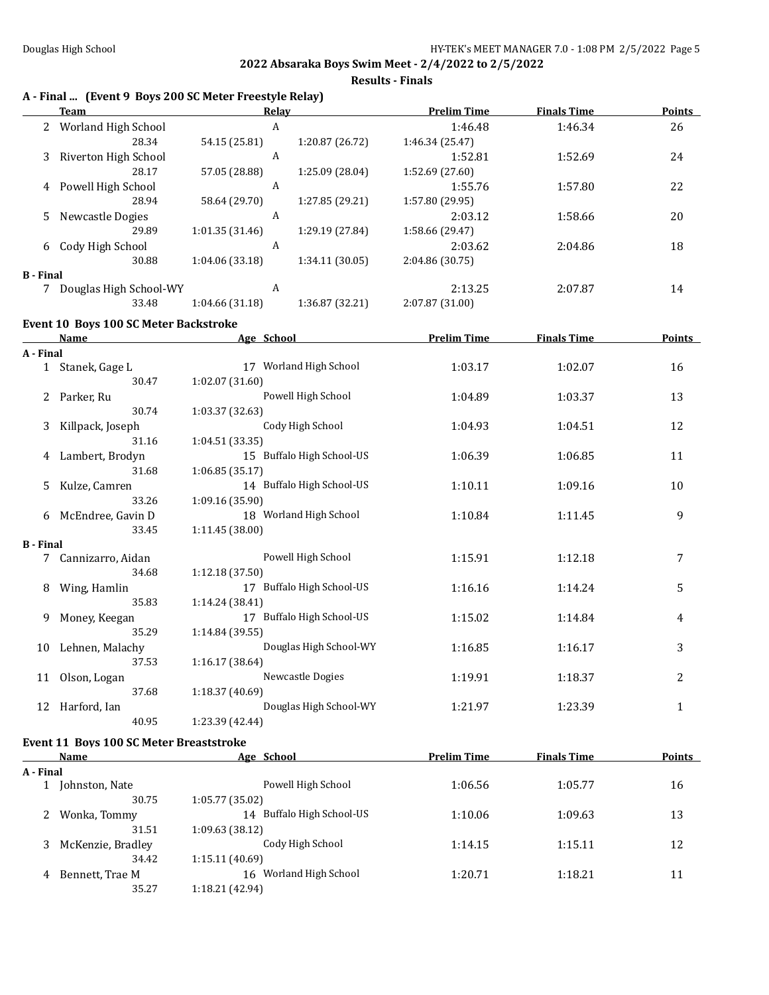**Results - Finals**

|                  | Team                                           | A - Final  (Event 9 Boys 200 SC Meter Freestyle Relay)<br>Relay | <b>Prelim Time</b> | <b>Finals Time</b> | Points         |
|------------------|------------------------------------------------|-----------------------------------------------------------------|--------------------|--------------------|----------------|
|                  | 2 Worland High School                          | A                                                               | 1:46.48            | 1:46.34            | 26             |
|                  | 28.34                                          | 1:20.87 (26.72)<br>54.15 (25.81)                                | 1:46.34 (25.47)    |                    |                |
| 3                | Riverton High School                           | A                                                               | 1:52.81            | 1:52.69            | 24             |
|                  | 28.17                                          | 1:25.09 (28.04)<br>57.05 (28.88)                                | 1:52.69 (27.60)    |                    |                |
| 4                | Powell High School                             | A                                                               | 1:55.76            | 1:57.80            | 22             |
|                  | 28.94                                          | 1:27.85 (29.21)<br>58.64 (29.70)                                | 1:57.80 (29.95)    |                    |                |
| 5.               | Newcastle Dogies                               | A                                                               | 2:03.12            | 1:58.66            | 20             |
|                  | 29.89                                          | 1:01.35 (31.46)<br>1:29.19 (27.84)                              | 1:58.66 (29.47)    |                    |                |
| 6                | Cody High School                               | A                                                               | 2:03.62            | 2:04.86            | 18             |
|                  | 30.88                                          | 1:04.06(33.18)<br>1:34.11 (30.05)                               | 2:04.86 (30.75)    |                    |                |
| <b>B</b> - Final |                                                |                                                                 |                    |                    |                |
|                  | 7 Douglas High School-WY                       | A                                                               | 2:13.25            | 2:07.87            | 14             |
|                  | 33.48                                          | 1:04.66 (31.18)<br>1:36.87 (32.21)                              | 2:07.87 (31.00)    |                    |                |
|                  | Event 10 Boys 100 SC Meter Backstroke          |                                                                 |                    |                    |                |
|                  | Name                                           | Age School                                                      | <b>Prelim Time</b> | <b>Finals Time</b> | <b>Points</b>  |
| A - Final        |                                                |                                                                 |                    |                    |                |
|                  | 1 Stanek, Gage L                               | 17 Worland High School                                          | 1:03.17            | 1:02.07            | 16             |
|                  | 30.47                                          | 1:02.07 (31.60)                                                 |                    |                    |                |
| 2                | Parker, Ru                                     | Powell High School                                              | 1:04.89            | 1:03.37            | 13             |
|                  | 30.74                                          | 1:03.37 (32.63)                                                 |                    |                    |                |
| 3                | Killpack, Joseph                               | Cody High School                                                | 1:04.93            | 1:04.51            | 12             |
|                  | 31.16                                          | 1:04.51 (33.35)                                                 |                    |                    |                |
| 4                | Lambert, Brodyn                                | 15 Buffalo High School-US                                       | 1:06.39            | 1:06.85            | 11             |
|                  | 31.68                                          | 1:06.85 (35.17)                                                 |                    |                    |                |
| 5.               | Kulze, Camren                                  | 14 Buffalo High School-US                                       | 1:10.11            | 1:09.16            | 10             |
|                  | 33.26                                          | 1:09.16 (35.90)                                                 |                    |                    |                |
|                  | 6 McEndree, Gavin D                            | 18 Worland High School                                          | 1:10.84            | 1:11.45            | 9              |
|                  | 33.45                                          | 1:11.45 (38.00)                                                 |                    |                    |                |
| <b>B</b> - Final |                                                |                                                                 |                    |                    |                |
|                  | 7 Cannizarro, Aidan                            | Powell High School                                              | 1:15.91            | 1:12.18            | $\overline{7}$ |
|                  | 34.68                                          | 1:12.18 (37.50)                                                 |                    |                    |                |
| 8                | Wing, Hamlin                                   | 17 Buffalo High School-US                                       | 1:16.16            | 1:14.24            | 5              |
|                  | 35.83                                          | 1:14.24 (38.41)                                                 |                    |                    |                |
| 9                | Money, Keegan                                  | 17 Buffalo High School-US                                       | 1:15.02            | 1:14.84            | 4              |
|                  | 35.29                                          | 1:14.84 (39.55)                                                 |                    |                    |                |
|                  | 10 Lehnen, Malachy                             | Douglas High School-WY                                          | 1:16.85            | 1:16.17            | 3              |
|                  | 37.53                                          | 1:16.17 (38.64)                                                 |                    |                    |                |
| 11               | Olson, Logan                                   | Newcastle Dogies                                                | 1:19.91            | 1:18.37            | 2              |
|                  | 37.68                                          | 1:18.37 (40.69)                                                 |                    |                    |                |
| 12               | Harford, Ian                                   | Douglas High School-WY                                          | 1:21.97            | 1:23.39            | $\mathbf{1}$   |
|                  | 40.95                                          | 1:23.39 (42.44)                                                 |                    |                    |                |
|                  |                                                |                                                                 |                    |                    |                |
|                  | <b>Event 11 Boys 100 SC Meter Breaststroke</b> |                                                                 |                    |                    |                |
| A - Final        | Name                                           | Age School                                                      | <b>Prelim Time</b> | <b>Finals Time</b> | <b>Points</b>  |
|                  | 1 Johnston, Nate                               | Powell High School                                              | 1:06.56            | 1:05.77            | 16             |
|                  | 30.75                                          | 1:05.77 (35.02)                                                 |                    |                    |                |
|                  | Wonka, Tommy                                   | 14 Buffalo High School-US                                       | 1:10.06            |                    | 13             |
| 2                | 31.51                                          | 1:09.63 (38.12)                                                 |                    | 1:09.63            |                |
|                  | 3 McKenzie, Bradley                            | Cody High School                                                | 1:14.15            | 1:15.11            | 12             |
|                  |                                                |                                                                 |                    |                    |                |

4 Bennett, Trae M 16 Worland High School 1:20.71 1:18.21 11

34.42 1:15.11 (40.69)

35.27 1:18.21 (42.94)